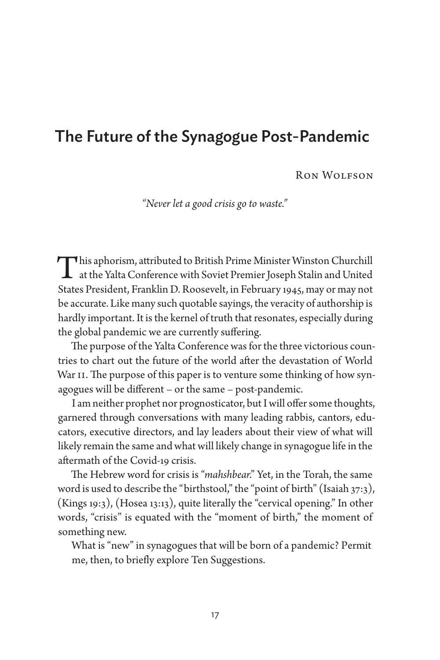# The Future of the Synagogue Post-Pandemic

Ron Wolfson

*"Never let a good crisis go to waste."*

This aphorism, attributed to British Prime Minister Winston Churchill<br>at the Yalta Conference with Soviet Premier Joseph Stalin and United<br>States President, Emplein D. Rosewelt, in February 1646, mey or moun of States President, Franklin D. Roosevelt, in February 1945, may or may not be accurate. Like many such quotable sayings, the veracity of authorship is hardly important. It is the kernel of truth that resonates, especially during the global pandemic we are currently suffering.

The purpose of the Yalta Conference was for the three victorious countries to chart out the future of the world after the devastation of World War II. The purpose of this paper is to venture some thinking of how synagogues will be different – or the same – post-pandemic.

I am neither prophet nor prognosticator, but I will offer some thoughts, garnered through conversations with many leading rabbis, cantors, educators, executive directors, and lay leaders about their view of what will likely remain the same and what will likely change in synagogue life in the aftermath of the Covid-19 crisis.

The Hebrew word for crisis is "*mahshbear*." Yet, in the Torah, the same word is used to describe the "birthstool," the "point of birth" (Isaiah 37:3), (Kings 19:3), (Hosea 13:13), quite literally the "cervical opening." In other words, "crisis" is equated with the "moment of birth," the moment of something new.

What is "new" in synagogues that will be born of a pandemic? Permit me, then, to briefly explore Ten Suggestions.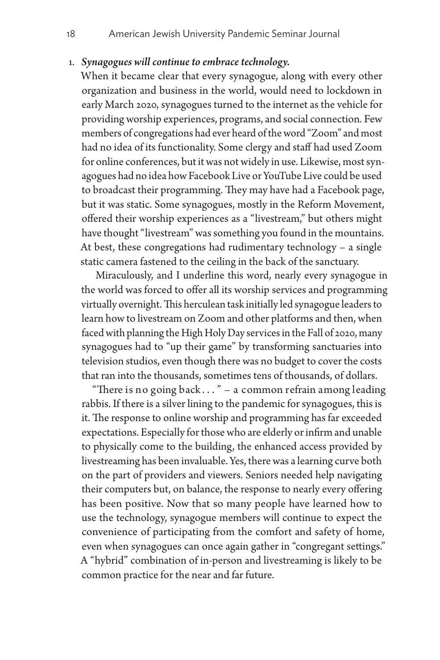#### 1. *Synagogues will continue to embrace technology.*

When it became clear that every synagogue, along with every other organization and business in the world, would need to lockdown in early March 2020, synagogues turned to the internet as the vehicle for providing worship experiences, programs, and social connection. Few members of congregations had ever heard of the word "Zoom" and most had no idea of its functionality. Some clergy and staff had used Zoom for online conferences, but it was not widely in use. Likewise, most synagogues had no idea how Facebook Live or YouTube Live could be used to broadcast their programming. They may have had a Facebook page, but it was static. Some synagogues, mostly in the Reform Movement, offered their worship experiences as a "livestream," but others might have thought "livestream" was something you found in the mountains. At best, these congregations had rudimentary technology – a single static camera fastened to the ceiling in the back of the sanctuary.

Miraculously, and I underline this word, nearly every synagogue in the world was forced to offer all its worship services and programming virtually overnight. This herculean task initially led synagogue leaders to learn how to livestream on Zoom and other platforms and then, when faced with planning the High Holy Day services in the Fall of 2020, many synagogues had to "up their game" by transforming sanctuaries into television studios, even though there was no budget to cover the costs that ran into the thousands, sometimes tens of thousands, of dollars.

"There is no going back . . . " – a common refrain among leading rabbis. If there is a silver lining to the pandemic for synagogues, this is it. The response to online worship and programming has far exceeded expectations. Especially for those who are elderly or infirm and unable to physically come to the building, the enhanced access provided by livestreaming has been invaluable. Yes, there was a learning curve both on the part of providers and viewers. Seniors needed help navigating their computers but, on balance, the response to nearly every offering has been positive. Now that so many people have learned how to use the technology, synagogue members will continue to expect the convenience of participating from the comfort and safety of home, even when synagogues can once again gather in "congregant settings." A "hybrid" combination of in-person and livestreaming is likely to be common practice for the near and far future.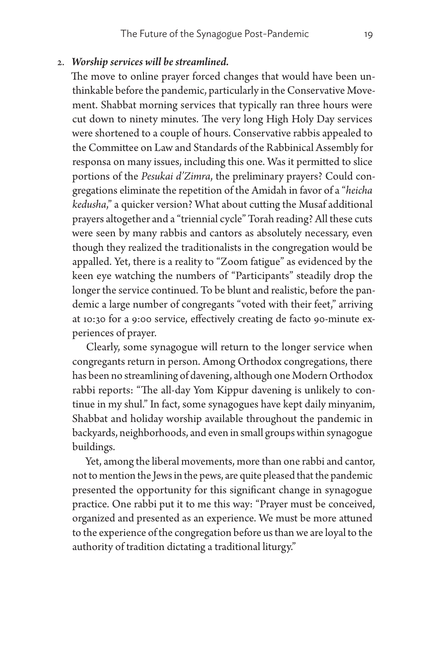#### 2. *Worship services will be streamlined.*

The move to online prayer forced changes that would have been unthinkable before the pandemic, particularly in the Conservative Movement. Shabbat morning services that typically ran three hours were cut down to ninety minutes. The very long High Holy Day services were shortened to a couple of hours. Conservative rabbis appealed to the Committee on Law and Standards of the Rabbinical Assembly for responsa on many issues, including this one. Was it permitted to slice portions of the *Pesukai d'Zimra*, the preliminary prayers? Could congregations eliminate the repetition of the Amidah in favor of a "*heicha kedusha*," a quicker version? What about cutting the Musaf additional prayers altogether and a "triennial cycle" Torah reading? All these cuts were seen by many rabbis and cantors as absolutely necessary, even though they realized the traditionalists in the congregation would be appalled. Yet, there is a reality to "Zoom fatigue" as evidenced by the keen eye watching the numbers of "Participants" steadily drop the longer the service continued. To be blunt and realistic, before the pandemic a large number of congregants "voted with their feet," arriving at 10:30 for a 9:00 service, effectively creating de facto 90-minute experiences of prayer.

Clearly, some synagogue will return to the longer service when congregants return in person. Among Orthodox congregations, there has been no streamlining of davening, although one Modern Orthodox rabbi reports: "The all-day Yom Kippur davening is unlikely to continue in my shul." In fact, some synagogues have kept daily minyanim, Shabbat and holiday worship available throughout the pandemic in backyards, neighborhoods, and even in small groups within synagogue buildings.

Yet, among the liberal movements, more than one rabbi and cantor, not to mention the Jews in the pews, are quite pleased that the pandemic presented the opportunity for this significant change in synagogue practice. One rabbi put it to me this way: "Prayer must be conceived, organized and presented as an experience. We must be more attuned to the experience of the congregation before us than we are loyal to the authority of tradition dictating a traditional liturgy."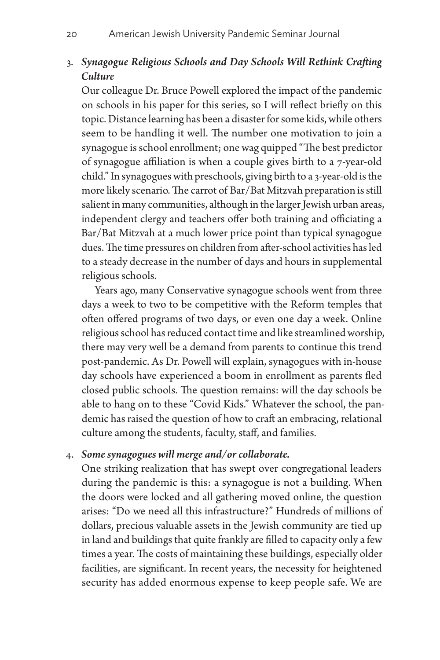### 3. *Synagogue Religious Schools and Day Schools Will Rethink Crafting Culture*

Our colleague Dr. Bruce Powell explored the impact of the pandemic on schools in his paper for this series, so I will reflect briefly on this topic. Distance learning has been a disaster for some kids, while others seem to be handling it well. The number one motivation to join a synagogue is school enrollment; one wag quipped "The best predictor of synagogue affiliation is when a couple gives birth to a 7-year-old child." In synagogues with preschools, giving birth to a 3-year-old is the more likely scenario. The carrot of Bar/Bat Mitzvah preparation is still salient in many communities, although in the larger Jewish urban areas, independent clergy and teachers offer both training and officiating a Bar/Bat Mitzvah at a much lower price point than typical synagogue dues. The time pressures on children from after-school activities has led to a steady decrease in the number of days and hours in supplemental religious schools.

Years ago, many Conservative synagogue schools went from three days a week to two to be competitive with the Reform temples that often offered programs of two days, or even one day a week. Online religious school has reduced contact time and like streamlined worship, there may very well be a demand from parents to continue this trend post-pandemic. As Dr. Powell will explain, synagogues with in-house day schools have experienced a boom in enrollment as parents fled closed public schools. The question remains: will the day schools be able to hang on to these "Covid Kids." Whatever the school, the pandemic has raised the question of how to craft an embracing, relational culture among the students, faculty, staff, and families.

### 4. *Some synagogues will merge and/or collaborate.*

One striking realization that has swept over congregational leaders during the pandemic is this: a synagogue is not a building. When the doors were locked and all gathering moved online, the question arises: "Do we need all this infrastructure?" Hundreds of millions of dollars, precious valuable assets in the Jewish community are tied up in land and buildings that quite frankly are filled to capacity only a few times a year. The costs of maintaining these buildings, especially older facilities, are significant. In recent years, the necessity for heightened security has added enormous expense to keep people safe. We are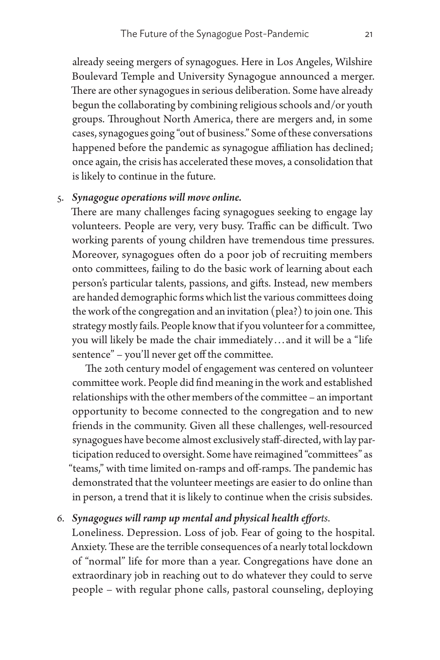already seeing mergers of synagogues. Here in Los Angeles, Wilshire Boulevard Temple and University Synagogue announced a merger. There are other synagogues in serious deliberation. Some have already begun the collaborating by combining religious schools and/or youth groups. Throughout North America, there are mergers and, in some cases, synagogues going "out of business." Some of these conversations happened before the pandemic as synagogue affiliation has declined; once again, the crisis has accelerated these moves, a consolidation that is likely to continue in the future.

### 5. *Synagogue operations will move online.*

There are many challenges facing synagogues seeking to engage lay volunteers. People are very, very busy. Traffic can be difficult. Two working parents of young children have tremendous time pressures. Moreover, synagogues often do a poor job of recruiting members onto committees, failing to do the basic work of learning about each person's particular talents, passions, and gifts. Instead, new members are handed demographic forms which list the various committees doing the work of the congregation and an invitation (plea?) to join one. This strategy mostly fails. People know that if you volunteer for a committee, you will likely be made the chair immediately . . . and it will be a "life sentence" – you'll never get off the committee.

The 20th century model of engagement was centered on volunteer committee work. People did find meaning in the work and established relationships with the other members of the committee – an important opportunity to become connected to the congregation and to new friends in the community. Given all these challenges, well-resourced synagogues have become almost exclusively staff-directed, with lay participation reduced to oversight. Some have reimagined "committees" as "teams," with time limited on-ramps and off-ramps. The pandemic has demonstrated that the volunteer meetings are easier to do online than in person, a trend that it is likely to continue when the crisis subsides.

### 6. *Synagogues will ramp up mental and physical health efforts*.

Loneliness. Depression. Loss of job. Fear of going to the hospital. Anxiety. These are the terrible consequences of a nearly total lockdown of "normal" life for more than a year. Congregations have done an extraordinary job in reaching out to do whatever they could to serve people – with regular phone calls, pastoral counseling, deploying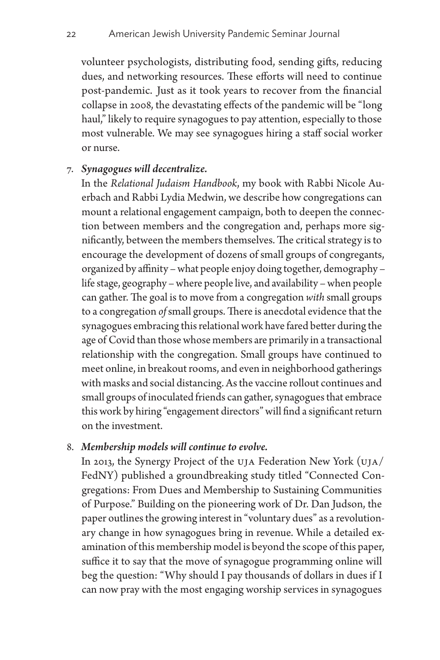volunteer psychologists, distributing food, sending gifts, reducing dues, and networking resources. These efforts will need to continue post-pandemic. Just as it took years to recover from the financial collapse in 2008, the devastating effects of the pandemic will be "long haul," likely to require synagogues to pay attention, especially to those most vulnerable. We may see synagogues hiring a staff social worker or nurse.

### 7. *Synagogues will decentralize.*

In the *Relational Judaism Handbook*, my book with Rabbi Nicole Auerbach and Rabbi Lydia Medwin, we describe how congregations can mount a relational engagement campaign, both to deepen the connection between members and the congregation and, perhaps more significantly, between the members themselves. The critical strategy is to encourage the development of dozens of small groups of congregants, organized by affinity – what people enjoy doing together, demography – life stage, geography – where people live, and availability – when people can gather. The goal is to move from a congregation *with* small groups to a congregation *of* small groups. There is anecdotal evidence that the synagogues embracing this relational work have fared better during the age of Covid than those whose members are primarily in a transactional relationship with the congregation. Small groups have continued to meet online, in breakout rooms, and even in neighborhood gatherings with masks and social distancing. As the vaccine rollout continues and small groups of inoculated friends can gather, synagogues that embrace this work by hiring "engagement directors" will find a significant return on the investment.

#### 8. *Membership models will continue to evolve.*

In 2013, the Synergy Project of the UJA Federation New York (UJA/ FedNY) published a groundbreaking study titled "Connected Congregations: From Dues and Membership to Sustaining Communities of Purpose." Building on the pioneering work of Dr. Dan Judson, the paper outlines the growing interest in "voluntary dues" as a revolutionary change in how synagogues bring in revenue. While a detailed examination of this membership model is beyond the scope of this paper, suffice it to say that the move of synagogue programming online will beg the question: "Why should I pay thousands of dollars in dues if I can now pray with the most engaging worship services in synagogues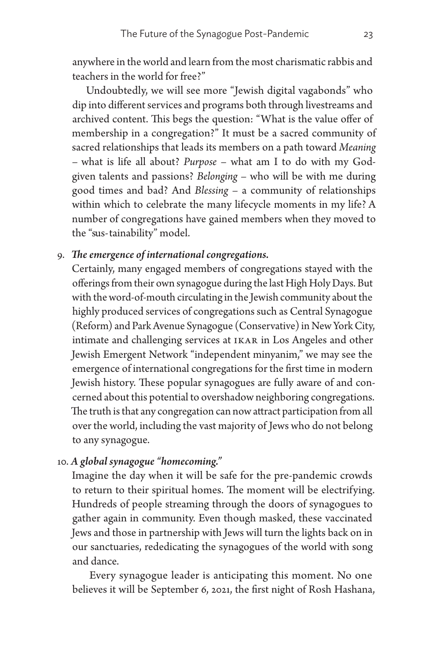anywhere in the world and learn from the most charismatic rabbis and teachers in the world for free?"

Undoubtedly, we will see more "Jewish digital vagabonds" who dip into different services and programs both through livestreams and archived content. This begs the question: "What is the value offer of membership in a congregation?" It must be a sacred community of sacred relationships that leads its members on a path toward *Meaning* – what is life all about? *Purpose* – what am I to do with my Godgiven talents and passions? *Belonging* – who will be with me during good times and bad? And *Blessing* – a community of relationships within which to celebrate the many lifecycle moments in my life? A number of congregations have gained members when they moved to the "sus-tainability" model.

# 9. *The emergence of international congregations.*

Certainly, many engaged members of congregations stayed with the offerings from their own synagogue during the last High Holy Days. But with the word-of-mouth circulating in the Jewish community about the highly produced services of congregations such as Central Synagogue (Reform) and Park Avenue Synagogue (Conservative) in New York City, intimate and challenging services at IKAR in Los Angeles and other Jewish Emergent Network "independent minyanim," we may see the emergence of international congregations for the first time in modern Jewish history. These popular synagogues are fully aware of and concerned about this potential to overshadow neighboring congregations. The truth is that any congregation can now attract participation from all over the world, including the vast majority of Jews who do not belong to any synagogue.

# 10. *A global synagogue "homecoming."*

Imagine the day when it will be safe for the pre-pandemic crowds to return to their spiritual homes. The moment will be electrifying. Hundreds of people streaming through the doors of synagogues to gather again in community. Even though masked, these vaccinated Jews and those in partnership with Jews will turn the lights back on in our sanctuaries, rededicating the synagogues of the world with song and dance.

Every synagogue leader is anticipating this moment. No one believes it will be September 6, 2021, the first night of Rosh Hashana,